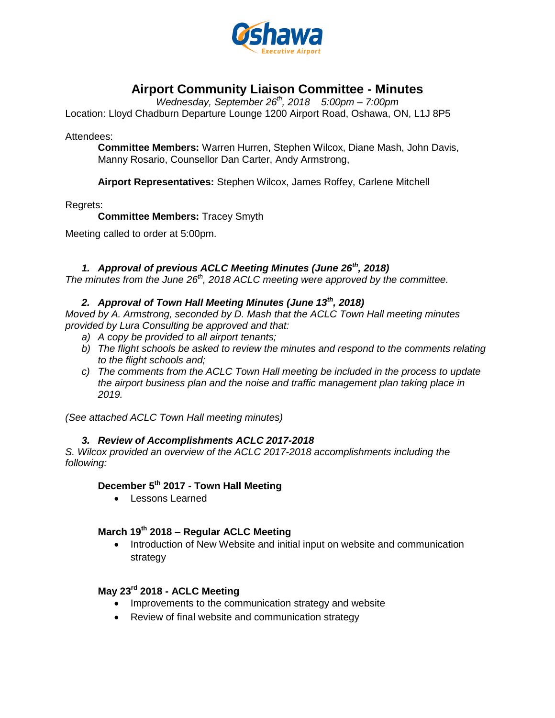

# **Airport Community Liaison Committee - Minutes**

*Wednesday, September 26th , 2018 5:00pm – 7:00pm*

Location: Lloyd Chadburn Departure Lounge 1200 Airport Road, Oshawa, ON, L1J 8P5

Attendees:

**Committee Members:** Warren Hurren, Stephen Wilcox, Diane Mash, John Davis, Manny Rosario, Counsellor Dan Carter, Andy Armstrong,

**Airport Representatives:** Stephen Wilcox, James Roffey, Carlene Mitchell

Regrets:

**Committee Members:** Tracey Smyth

Meeting called to order at 5:00pm.

### *1. Approval of previous ACLC Meeting Minutes (June 26th, 2018)*

*The minutes from the June 26th, 2018 ACLC meeting were approved by the committee.*

## *2. Approval of Town Hall Meeting Minutes (June 13th, 2018)*

*Moved by A. Armstrong, seconded by D. Mash that the ACLC Town Hall meeting minutes provided by Lura Consulting be approved and that:*

- *a) A copy be provided to all airport tenants;*
- *b) The flight schools be asked to review the minutes and respond to the comments relating to the flight schools and;*
- *c) The comments from the ACLC Town Hall meeting be included in the process to update the airport business plan and the noise and traffic management plan taking place in 2019.*

*(See attached ACLC Town Hall meeting minutes)*

### *3. Review of Accomplishments ACLC 2017-2018*

*S. Wilcox provided an overview of the ACLC 2017-2018 accomplishments including the following:*

# **December 5th 2017 - Town Hall Meeting**

Lessons Learned

### **March 19th 2018 – Regular ACLC Meeting**

• Introduction of New Website and initial input on website and communication strategy

### **May 23rd 2018 - ACLC Meeting**

- Improvements to the communication strategy and website
- Review of final website and communication strategy